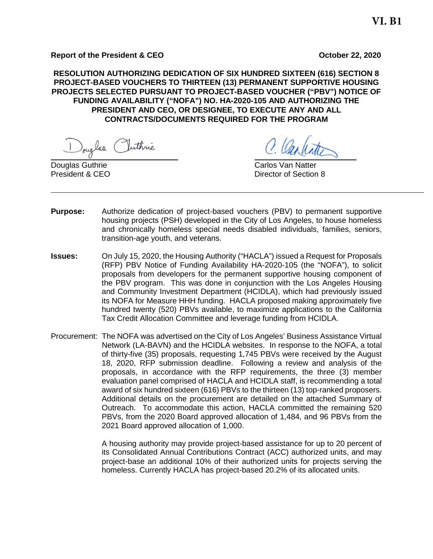#### **Report of the President & CEO October 22, 2020**

**RESOLUTION AUTHORIZING DEDICATION OF SIX HUNDRED SIXTEEN (616) SECTION 8 PROJECT-BASED VOUCHERS TO THIRTEEN (13) PERMANENT SUPPORTIVE HOUSING PROJECTS SELECTED PURSUANT TO PROJECT-BASED VOUCHER ("PBV") NOTICE OF FUNDING AVAILABILITY ("NOFA") NO. HA-2020-105 AND AUTHORIZING THE PRESIDENT AND CEO, OR DESIGNEE, TO EXECUTE ANY AND ALL CONTRACTS/DOCUMENTS REQUIRED FOR THE PROGRAM** 

Douglas Puthrie

C. Carlinto

**Douglas Guthrie** Carlos Van Natter President & CEO **Director of Section 8** 

- **Purpose:** Authorize dedication of project-based vouchers (PBV) to permanent supportive housing projects (PSH) developed in the City of Los Angeles, to house homeless and chronically homeless special needs disabled individuals, families, seniors, transition-age youth, and veterans.
- **Issues:** On July 15, 2020, the Housing Authority ("HACLA") issued a Request for Proposals (RFP) PBV Notice of Funding Availability HA-2020-105 (the "NOFA"), to solicit proposals from developers for the permanent supportive housing component of the PBV program. This was done in conjunction with the Los Angeles Housing and Community Investment Department (HCIDLA), which had previously issued its NOFA for Measure HHH funding. HACLA proposed making approximately five hundred twenty (520) PBVs available, to maximize applications to the California Tax Credit Allocation Committee and leverage funding from HCIDLA.
- Procurement: The NOFA was advertised on the City of Los Angeles' Business Assistance Virtual Network (LA-BAVN) and the HCIDLA websites. In response to the NOFA, a total of thirty-five (35) proposals, requesting 1,745 PBVs were received by the August 18, 2020, RFP submission deadline. Following a review and analysis of the proposals, in accordance with the RFP requirements, the three (3) member evaluation panel comprised of HACLA and HCIDLA staff, is recommending a total award of six hundred sixteen (616) PBVs to the thirteen (13) top-ranked proposers. Additional details on the procurement are detailed on the attached Summary of Outreach. To accommodate this action, HACLA committed the remaining 520 PBVs, from the 2020 Board approved allocation of 1,484, and 96 PBVs from the 2021 Board approved allocation of 1,000.

A housing authority may provide project-based assistance for up to 20 percent of its Consolidated Annual Contributions Contract (ACC) authorized units, and may project-base an additional 10% of their authorized units for projects serving the homeless. Currently HACLA has project-based 20.2% of its allocated units.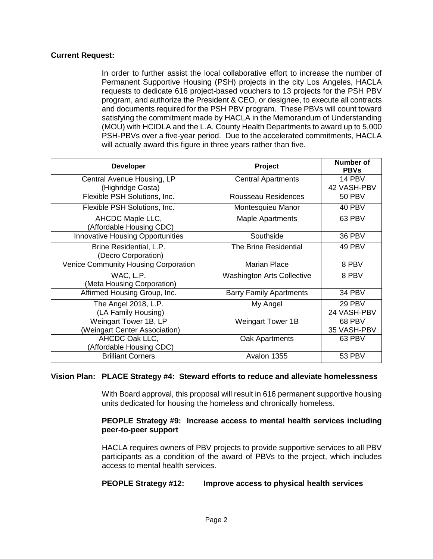## **Current Request:**

In order to further assist the local collaborative effort to increase the number of Permanent Supportive Housing (PSH) projects in the city Los Angeles, HACLA requests to dedicate 616 project-based vouchers to 13 projects for the PSH PBV program, and authorize the President & CEO, or designee, to execute all contracts and documents required for the PSH PBV program. These PBVs will count toward satisfying the commitment made by HACLA in the Memorandum of Understanding (MOU) with HCIDLA and the L.A. County Health Departments to award up to 5,000 PSH-PBVs over a five-year period. Due to the accelerated commitments, HACLA will actually award this figure in three years rather than five.

| <b>Developer</b>                               | Project                           | Number of<br><b>PBVs</b> |  |
|------------------------------------------------|-----------------------------------|--------------------------|--|
| Central Avenue Housing, LP                     | <b>Central Apartments</b>         | 14 PBV                   |  |
| (Highridge Costa)                              |                                   | 42 VASH-PBV              |  |
| Flexible PSH Solutions, Inc.                   | Rousseau Residences               | <b>50 PBV</b>            |  |
| Flexible PSH Solutions, Inc.                   | Montesquieu Manor                 | 40 PBV                   |  |
| AHCDC Maple LLC,<br>(Affordable Housing CDC)   | <b>Maple Apartments</b>           | 63 PBV                   |  |
| Innovative Housing Opportunities               | Southside                         | <b>36 PBV</b>            |  |
| Brine Residential, L.P.<br>(Decro Corporation) | The Brine Residential             | 49 PBV                   |  |
| Venice Community Housing Corporation           | <b>Marian Place</b>               | 8 PBV                    |  |
| WAC, L.P.<br>(Meta Housing Corporation)        | <b>Washington Arts Collective</b> | 8 PBV                    |  |
| Affirmed Housing Group, Inc.                   | <b>Barry Family Apartments</b>    | 34 PBV                   |  |
| The Angel 2018, L.P.                           | My Angel                          | 29 PBV                   |  |
| (LA Family Housing)                            |                                   | 24 VASH-PBV              |  |
| Weingart Tower 1B, LP                          | <b>Weingart Tower 1B</b>          | 68 PBV                   |  |
| (Weingart Center Association)                  |                                   | 35 VASH-PBV              |  |
| AHCDC Oak LLC,<br>(Affordable Housing CDC)     | Oak Apartments                    | 63 PBV                   |  |
| <b>Brilliant Corners</b>                       | Avalon 1355                       | <b>53 PBV</b>            |  |

## **Vision Plan: PLACE Strategy #4: Steward efforts to reduce and alleviate homelessness**

With Board approval, this proposal will result in 616 permanent supportive housing units dedicated for housing the homeless and chronically homeless.

#### **PEOPLE Strategy #9: Increase access to mental health services including peer-to-peer support**

HACLA requires owners of PBV projects to provide supportive services to all PBV participants as a condition of the award of PBVs to the project, which includes access to mental health services.

## **PEOPLE Strategy #12: Improve access to physical health services**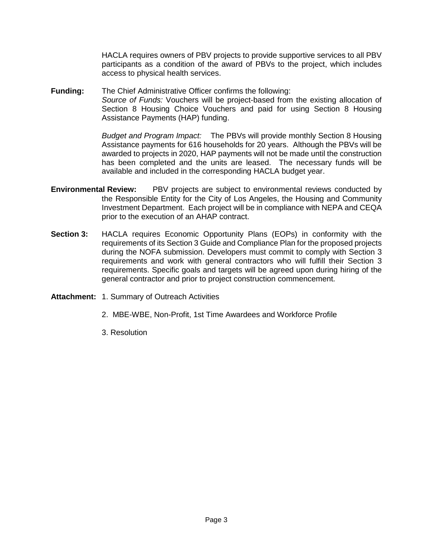HACLA requires owners of PBV projects to provide supportive services to all PBV participants as a condition of the award of PBVs to the project, which includes access to physical health services.

**Funding:** The Chief Administrative Officer confirms the following: *Source of Funds:* Vouchers will be project-based from the existing allocation of Section 8 Housing Choice Vouchers and paid for using Section 8 Housing Assistance Payments (HAP) funding.

> *Budget and Program Impact:* The PBVs will provide monthly Section 8 Housing Assistance payments for 616 households for 20 years. Although the PBVs will be awarded to projects in 2020, HAP payments will not be made until the construction has been completed and the units are leased. The necessary funds will be available and included in the corresponding HACLA budget year.

- **Environmental Review:** PBV projects are subject to environmental reviews conducted by the Responsible Entity for the City of Los Angeles, the Housing and Community Investment Department. Each project will be in compliance with NEPA and CEQA prior to the execution of an AHAP contract.
- **Section 3:** HACLA requires Economic Opportunity Plans (EOPs) in conformity with the requirements of its Section 3 Guide and Compliance Plan for the proposed projects during the NOFA submission. Developers must commit to comply with Section 3 requirements and work with general contractors who will fulfill their Section 3 requirements. Specific goals and targets will be agreed upon during hiring of the general contractor and prior to project construction commencement.
- **Attachment:** 1. Summary of Outreach Activities
	- 2. MBE-WBE, Non-Profit, 1st Time Awardees and Workforce Profile
	- 3. Resolution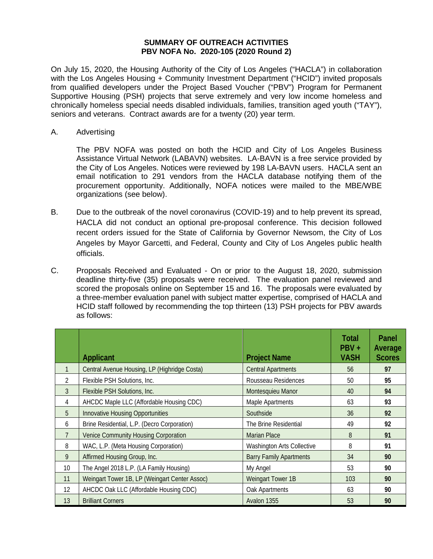#### **SUMMARY OF OUTREACH ACTIVITIES PBV NOFA No. 2020-105 (2020 Round 2)**

On July 15, 2020, the Housing Authority of the City of Los Angeles ("HACLA") in collaboration with the Los Angeles Housing + Community Investment Department ("HCID") invited proposals from qualified developers under the Project Based Voucher ("PBV") Program for Permanent Supportive Housing (PSH) projects that serve extremely and very low income homeless and chronically homeless special needs disabled individuals, families, transition aged youth ("TAY"), seniors and veterans. Contract awards are for a twenty (20) year term.

A. Advertising

The PBV NOFA was posted on both the HCID and City of Los Angeles Business Assistance Virtual Network (LABAVN) websites. LA-BAVN is a free service provided by the City of Los Angeles. Notices were reviewed by 198 LA-BAVN users. HACLA sent an email notification to 291 vendors from the HACLA database notifying them of the procurement opportunity. Additionally, NOFA notices were mailed to the MBE/WBE organizations (see below).

- B. Due to the outbreak of the novel coronavirus (COVID-19) and to help prevent its spread, HACLA did not conduct an optional pre-proposal conference. This decision followed recent orders issued for the State of California by Governor Newsom, the City of Los Angeles by Mayor Garcetti, and Federal, County and City of Los Angeles public health officials.
- C. Proposals Received and Evaluated On or prior to the August 18, 2020, submission deadline thirty-five (35) proposals were received. The evaluation panel reviewed and scored the proposals online on September 15 and 16. The proposals were evaluated by a three-member evaluation panel with subject matter expertise, comprised of HACLA and HCID staff followed by recommending the top thirteen (13) PSH projects for PBV awards as follows:

|               | <b>Applicant</b>                              | <b>Project Name</b>               | <b>Total</b><br>$PBV +$<br><b>VASH</b> | Panel<br>Average<br><b>Scores</b> |
|---------------|-----------------------------------------------|-----------------------------------|----------------------------------------|-----------------------------------|
|               | Central Avenue Housing, LP (Highridge Costa)  | <b>Central Apartments</b>         | 56                                     | 97                                |
| 2             | Flexible PSH Solutions, Inc.                  | Rousseau Residences               | 50                                     | 95                                |
| $\mathcal{E}$ | Flexible PSH Solutions, Inc.                  | Montesquieu Manor                 | 40                                     | 94                                |
| 4             | AHCDC Maple LLC (Affordable Housing CDC)      | Maple Apartments                  | 63                                     | 93                                |
| 5             | <b>Innovative Housing Opportunities</b>       | Southside                         | 36                                     | 92                                |
| 6             | Brine Residential, L.P. (Decro Corporation)   | The Brine Residential             | 49                                     | 92                                |
|               | <b>Venice Community Housing Corporation</b>   | <b>Marian Place</b>               | 8                                      | 91                                |
| 8             | WAC, L.P. (Meta Housing Corporation)          | <b>Washington Arts Collective</b> | 8                                      | 91                                |
| 9             | Affirmed Housing Group, Inc.                  | <b>Barry Family Apartments</b>    | 34                                     | 90                                |
| 10            | The Angel 2018 L.P. (LA Family Housing)       | My Angel                          | 53                                     | 90                                |
| 11            | Weingart Tower 1B, LP (Weingart Center Assoc) | Weingart Tower 1B                 | 103                                    | 90                                |
| 12            | AHCDC Oak LLC (Affordable Housing CDC)        | Oak Apartments                    | 63                                     | 90                                |
| 13            | <b>Brilliant Corners</b>                      | Avalon 1355                       | 53                                     | 90                                |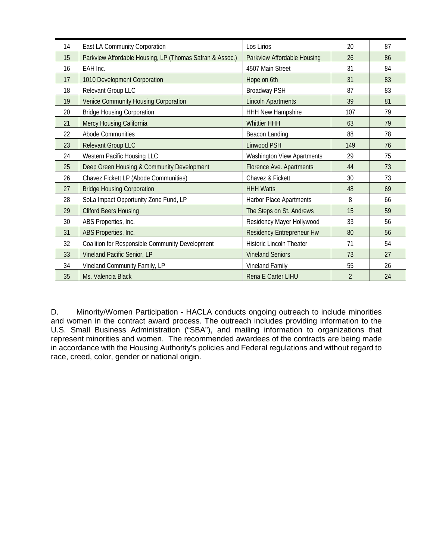|    |                                                          |                                   | 20             | 87 |
|----|----------------------------------------------------------|-----------------------------------|----------------|----|
| 14 | East LA Community Corporation                            | Los Lirios                        |                |    |
| 15 | Parkview Affordable Housing, LP (Thomas Safran & Assoc.) | Parkview Affordable Housing       | 26             | 86 |
| 16 | EAH Inc.                                                 | 4507 Main Street                  | 31             | 84 |
| 17 | 1010 Development Corporation                             | Hope on 6th                       | 31             | 83 |
| 18 | Relevant Group LLC                                       | <b>Broadway PSH</b>               | 87             | 83 |
| 19 | Venice Community Housing Corporation                     | <b>Lincoln Apartments</b>         | 39             | 81 |
| 20 | <b>Bridge Housing Corporation</b>                        | <b>HHH New Hampshire</b>          | 107            | 79 |
| 21 | Mercy Housing California                                 | <b>Whittier HHH</b>               | 63             | 79 |
| 22 | Abode Communities                                        | Beacon Landing                    | 88             | 78 |
| 23 | Relevant Group LLC                                       | Linwood PSH                       | 149            | 76 |
| 24 | Western Pacific Housing LLC                              | <b>Washington View Apartments</b> | 29             | 75 |
| 25 | Deep Green Housing & Community Development               | Florence Ave. Apartments          | 44             | 73 |
| 26 | Chavez Fickett LP (Abode Communities)                    | Chavez & Fickett                  | 30             | 73 |
| 27 | <b>Bridge Housing Corporation</b>                        | <b>HHH Watts</b>                  | 48             | 69 |
| 28 | SoLa Impact Opportunity Zone Fund, LP                    | Harbor Place Apartments           | 8              | 66 |
| 29 | <b>Cliford Beers Housing</b>                             | The Steps on St. Andrews          | 15             | 59 |
| 30 | ABS Properties, Inc.                                     | Residency Mayer Hollywood         | 33             | 56 |
| 31 | ABS Properties, Inc.                                     | <b>Residency Entrepreneur Hw</b>  | 80             | 56 |
| 32 | Coalition for Responsible Community Development          | <b>Historic Lincoln Theater</b>   | 71             | 54 |
| 33 | Vineland Pacific Senior, LP                              | <b>Vineland Seniors</b>           | 73             | 27 |
| 34 | Vineland Community Family, LP                            | Vineland Family                   | 55             | 26 |
| 35 | Ms. Valencia Black                                       | <b>Rena E Carter LIHU</b>         | $\overline{2}$ | 24 |

D. Minority/Women Participation - HACLA conducts ongoing outreach to include minorities and women in the contract award process. The outreach includes providing information to the U.S. Small Business Administration ("SBA"), and mailing information to organizations that represent minorities and women. The recommended awardees of the contracts are being made in accordance with the Housing Authority's policies and Federal regulations and without regard to race, creed, color, gender or national origin.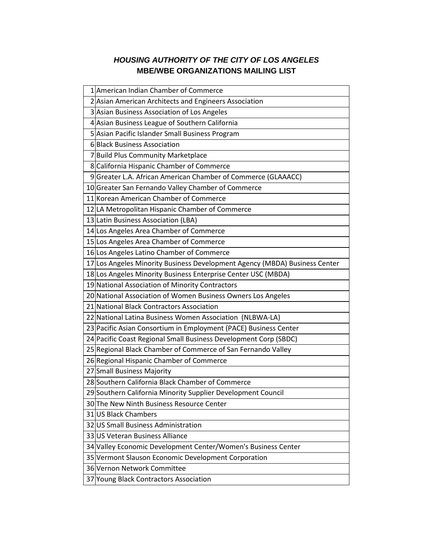# *HOUSING AUTHORITY OF THE CITY OF LOS ANGELES* **MBE/WBE ORGANIZATIONS MAILING LIST**

| 1 American Indian Chamber of Commerce                                      |
|----------------------------------------------------------------------------|
| 2 Asian American Architects and Engineers Association                      |
| 3 Asian Business Association of Los Angeles                                |
| 4 Asian Business League of Southern California                             |
| 5 Asian Pacific Islander Small Business Program                            |
| 6 Black Business Association                                               |
| 7 Build Plus Community Marketplace                                         |
| 8 California Hispanic Chamber of Commerce                                  |
| 9 Greater L.A. African American Chamber of Commerce (GLAAACC)              |
| 10 Greater San Fernando Valley Chamber of Commerce                         |
| 11 Korean American Chamber of Commerce                                     |
| 12 LA Metropolitan Hispanic Chamber of Commerce                            |
| 13 Latin Business Association (LBA)                                        |
| 14 Los Angeles Area Chamber of Commerce                                    |
| 15 Los Angeles Area Chamber of Commerce                                    |
| 16 Los Angeles Latino Chamber of Commerce                                  |
| 17 Los Angeles Minority Business Development Agency (MBDA) Business Center |
| 18 Los Angeles Minority Business Enterprise Center USC (MBDA)              |
| 19 National Association of Minority Contractors                            |
| 20 National Association of Women Business Owners Los Angeles               |
| 21 National Black Contractors Association                                  |
| 22 National Latina Business Women Association (NLBWA-LA)                   |
| 23 Pacific Asian Consortium in Employment (PACE) Business Center           |
| 24 Pacific Coast Regional Small Business Development Corp (SBDC)           |
| 25 Regional Black Chamber of Commerce of San Fernando Valley               |
| 26 Regional Hispanic Chamber of Commerce                                   |
| 27 Small Business Majority                                                 |
| 28 Southern California Black Chamber of Commerce                           |
| 29 Southern California Minority Supplier Development Council               |
| 30 The New Ninth Business Resource Center                                  |
| 31 US Black Chambers                                                       |
| 32 US Small Business Administration                                        |
| 33 US Veteran Business Alliance                                            |
| 34 Valley Economic Development Center/Women's Business Center              |
| 35 Vermont Slauson Economic Development Corporation                        |
| 36 Vernon Network Committee                                                |
| 37 Young Black Contractors Association                                     |
|                                                                            |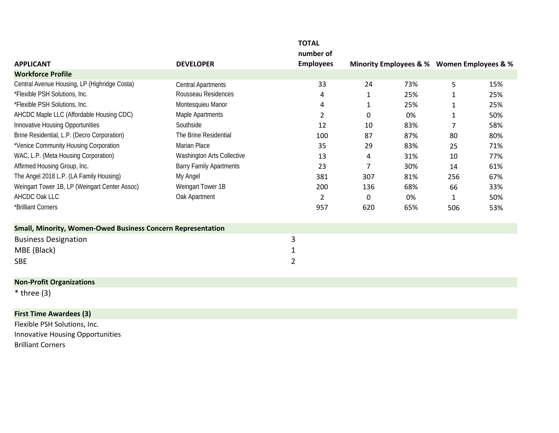|                                                                    |                                | <b>TOTAL</b>     |              |                                            |              |     |
|--------------------------------------------------------------------|--------------------------------|------------------|--------------|--------------------------------------------|--------------|-----|
|                                                                    |                                | number of        |              |                                            |              |     |
| <b>APPLICANT</b>                                                   | <b>DEVELOPER</b>               | <b>Employees</b> |              | Minority Employees & % Women Employees & % |              |     |
| <b>Workforce Profile</b>                                           |                                |                  |              |                                            |              |     |
| Central Avenue Housing, LP (Highridge Costa)                       | <b>Central Apartments</b>      | 33               | 24           | 73%                                        | 5            | 15% |
| *Flexible PSH Solutions, Inc.                                      | Rousseau Residences            | 4                | 1            | 25%                                        | 1            | 25% |
| *Flexible PSH Solutions, Inc.                                      | Montesquieu Manor              | 4                | 1            | 25%                                        | 1            | 25% |
| AHCDC Maple LLC (Affordable Housing CDC)                           | Maple Apartments               | 2                | 0            | 0%                                         | 1            | 50% |
| Innovative Housing Opportunities                                   | Southside                      | 12               | 10           | 83%                                        | 7            | 58% |
| Brine Residential, L.P. (Decro Corporation)                        | The Brine Residential          | 100              | 87           | 87%                                        | 80           | 80% |
| *Venice Community Housing Corporation                              | Marian Place                   | 35               | 29           | 83%                                        | 25           | 71% |
| WAC, L.P. (Meta Housing Corporation)                               | Washington Arts Collective     | 13               | 4            | 31%                                        | 10           | 77% |
| Affirmed Housing Group, Inc.                                       | <b>Barry Family Apartments</b> | 23               | 7            | 30%                                        | 14           | 61% |
| The Angel 2018 L.P. (LA Family Housing)                            | My Angel                       | 381              | 307          | 81%                                        | 256          | 67% |
| Weingart Tower 1B, LP (Weingart Center Assoc)                      | Weingart Tower 1B              | 200              | 136          | 68%                                        | 66           | 33% |
| AHCDC Oak LLC                                                      | Oak Apartment                  | $\overline{2}$   | $\mathbf{0}$ | 0%                                         | $\mathbf{1}$ | 50% |
| *Brilliant Corners                                                 |                                | 957              | 620          | 65%                                        | 506          | 53% |
| <b>Small, Minority, Women-Owed Business Concern Representation</b> |                                |                  |              |                                            |              |     |
| <b>Business Designation</b>                                        |                                | 3                |              |                                            |              |     |
| MBE (Black)                                                        |                                | 1                |              |                                            |              |     |
| <b>SBE</b>                                                         |                                | $\overline{2}$   |              |                                            |              |     |
| <b>Non-Profit Organizations</b>                                    |                                |                  |              |                                            |              |     |
| $*$ three (3)                                                      |                                |                  |              |                                            |              |     |
| <b>First Time Awardees (3)</b>                                     |                                |                  |              |                                            |              |     |
| Flexible PSH Solutions, Inc.                                       |                                |                  |              |                                            |              |     |
| Innovative Housing Opportunities                                   |                                |                  |              |                                            |              |     |
| <b>Brilliant Corners</b>                                           |                                |                  |              |                                            |              |     |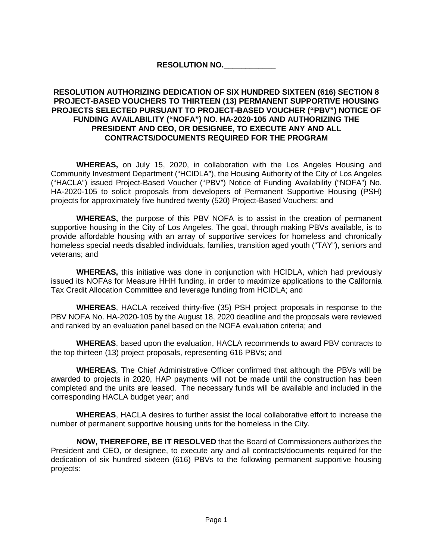## **RESOLUTION NO.\_\_\_\_\_\_\_\_\_\_\_\_**

## **RESOLUTION AUTHORIZING DEDICATION OF SIX HUNDRED SIXTEEN (616) SECTION 8 PROJECT-BASED VOUCHERS TO THIRTEEN (13) PERMANENT SUPPORTIVE HOUSING PROJECTS SELECTED PURSUANT TO PROJECT-BASED VOUCHER ("PBV") NOTICE OF FUNDING AVAILABILITY ("NOFA") NO. HA-2020-105 AND AUTHORIZING THE PRESIDENT AND CEO, OR DESIGNEE, TO EXECUTE ANY AND ALL CONTRACTS/DOCUMENTS REQUIRED FOR THE PROGRAM**

**WHEREAS,** on July 15, 2020, in collaboration with the Los Angeles Housing and Community Investment Department ("HCIDLA"), the Housing Authority of the City of Los Angeles ("HACLA") issued Project-Based Voucher ("PBV") Notice of Funding Availability ("NOFA") No. HA-2020-105 to solicit proposals from developers of Permanent Supportive Housing (PSH) projects for approximately five hundred twenty (520) Project-Based Vouchers; and

**WHEREAS,** the purpose of this PBV NOFA is to assist in the creation of permanent supportive housing in the City of Los Angeles. The goal, through making PBVs available, is to provide affordable housing with an array of supportive services for homeless and chronically homeless special needs disabled individuals, families, transition aged youth ("TAY"), seniors and veterans; and

**WHEREAS,** this initiative was done in conjunction with HCIDLA, which had previously issued its NOFAs for Measure HHH funding, in order to maximize applications to the California Tax Credit Allocation Committee and leverage funding from HCIDLA; and

**WHEREAS**, HACLA received thirty-five (35) PSH project proposals in response to the PBV NOFA No. HA-2020-105 by the August 18, 2020 deadline and the proposals were reviewed and ranked by an evaluation panel based on the NOFA evaluation criteria; and

**WHEREAS**, based upon the evaluation, HACLA recommends to award PBV contracts to the top thirteen (13) project proposals, representing 616 PBVs; and

**WHEREAS**, The Chief Administrative Officer confirmed that although the PBVs will be awarded to projects in 2020, HAP payments will not be made until the construction has been completed and the units are leased. The necessary funds will be available and included in the corresponding HACLA budget year; and

**WHEREAS**, HACLA desires to further assist the local collaborative effort to increase the number of permanent supportive housing units for the homeless in the City.

**NOW, THEREFORE, BE IT RESOLVED** that the Board of Commissioners authorizes the President and CEO, or designee, to execute any and all contracts/documents required for the dedication of six hundred sixteen (616) PBVs to the following permanent supportive housing projects: